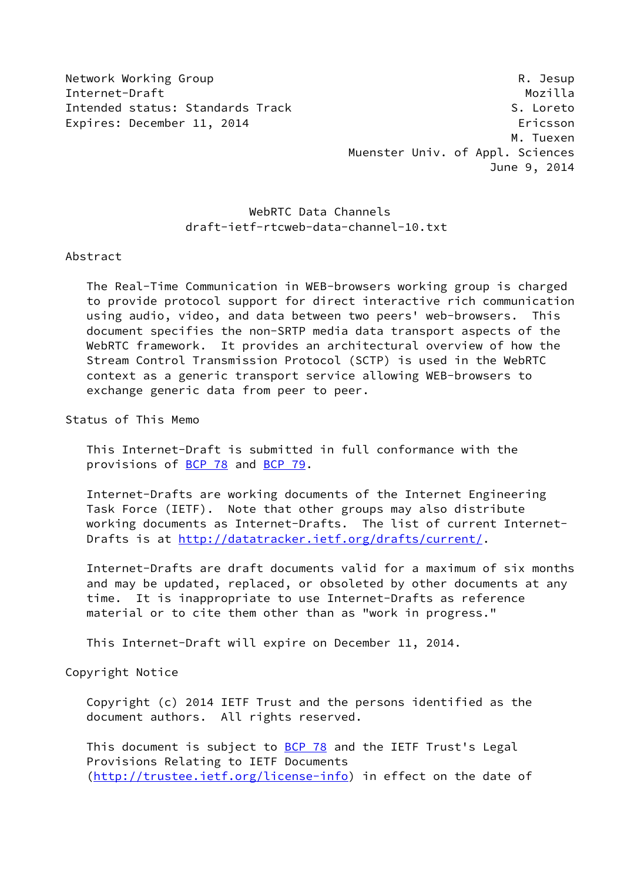Network Working Group **Reading Reading Community** R. Jesup

Internet-Draft Mozilla Intended status: Standards Track S. Loreto Expires: December 11, 2014 **Expires: Expires: December 11, 2014**  M. Tuexen Muenster Univ. of Appl. Sciences June 9, 2014

# WebRTC Data Channels draft-ietf-rtcweb-data-channel-10.txt

### Abstract

 The Real-Time Communication in WEB-browsers working group is charged to provide protocol support for direct interactive rich communication using audio, video, and data between two peers' web-browsers. This document specifies the non-SRTP media data transport aspects of the WebRTC framework. It provides an architectural overview of how the Stream Control Transmission Protocol (SCTP) is used in the WebRTC context as a generic transport service allowing WEB-browsers to exchange generic data from peer to peer.

Status of This Memo

 This Internet-Draft is submitted in full conformance with the provisions of [BCP 78](https://datatracker.ietf.org/doc/pdf/bcp78) and [BCP 79](https://datatracker.ietf.org/doc/pdf/bcp79).

 Internet-Drafts are working documents of the Internet Engineering Task Force (IETF). Note that other groups may also distribute working documents as Internet-Drafts. The list of current Internet- Drafts is at<http://datatracker.ietf.org/drafts/current/>.

 Internet-Drafts are draft documents valid for a maximum of six months and may be updated, replaced, or obsoleted by other documents at any time. It is inappropriate to use Internet-Drafts as reference material or to cite them other than as "work in progress."

This Internet-Draft will expire on December 11, 2014.

### Copyright Notice

 Copyright (c) 2014 IETF Trust and the persons identified as the document authors. All rights reserved.

This document is subject to **[BCP 78](https://datatracker.ietf.org/doc/pdf/bcp78)** and the IETF Trust's Legal Provisions Relating to IETF Documents [\(http://trustee.ietf.org/license-info](http://trustee.ietf.org/license-info)) in effect on the date of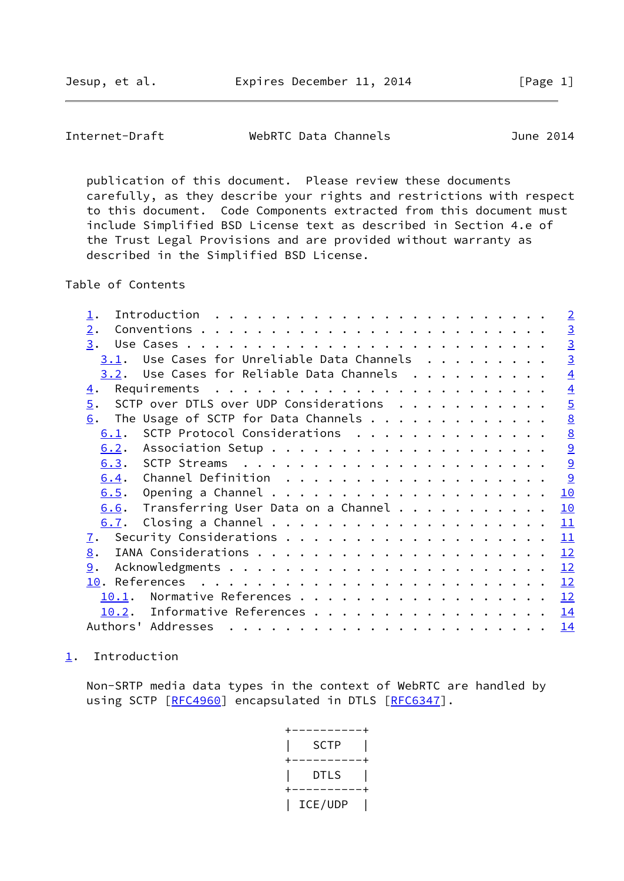<span id="page-1-1"></span>Internet-Draft WebRTC Data Channels June 2014

 publication of this document. Please review these documents carefully, as they describe your rights and restrictions with respect to this document. Code Components extracted from this document must include Simplified BSD License text as described in Section 4.e of the Trust Legal Provisions and are provided without warranty as described in the Simplified BSD License.

Table of Contents

|                  |                                                                                                                                                                                                                                                                                                                                                                                                                                                                                                               |  |  |  |  | $\overline{2}$  |
|------------------|---------------------------------------------------------------------------------------------------------------------------------------------------------------------------------------------------------------------------------------------------------------------------------------------------------------------------------------------------------------------------------------------------------------------------------------------------------------------------------------------------------------|--|--|--|--|-----------------|
| $\overline{2}$ . |                                                                                                                                                                                                                                                                                                                                                                                                                                                                                                               |  |  |  |  | $\overline{3}$  |
| 3.               |                                                                                                                                                                                                                                                                                                                                                                                                                                                                                                               |  |  |  |  | $\overline{3}$  |
| 3.1.             | Use Cases for Unreliable Data Channels                                                                                                                                                                                                                                                                                                                                                                                                                                                                        |  |  |  |  | $\overline{3}$  |
|                  | $3.2$ . Use Cases for Reliable Data Channels                                                                                                                                                                                                                                                                                                                                                                                                                                                                  |  |  |  |  | $\overline{4}$  |
| 4.               |                                                                                                                                                                                                                                                                                                                                                                                                                                                                                                               |  |  |  |  | $\overline{4}$  |
| $\overline{5}$ . | SCTP over DTLS over UDP Considerations                                                                                                                                                                                                                                                                                                                                                                                                                                                                        |  |  |  |  | $\overline{5}$  |
| 6.               | The Usage of SCTP for Data Channels                                                                                                                                                                                                                                                                                                                                                                                                                                                                           |  |  |  |  | $\underline{8}$ |
| 6.1.             | SCTP Protocol Considerations                                                                                                                                                                                                                                                                                                                                                                                                                                                                                  |  |  |  |  | $\underline{8}$ |
| 6.2.             |                                                                                                                                                                                                                                                                                                                                                                                                                                                                                                               |  |  |  |  | 9               |
|                  |                                                                                                                                                                                                                                                                                                                                                                                                                                                                                                               |  |  |  |  | 9               |
| 6.4.             |                                                                                                                                                                                                                                                                                                                                                                                                                                                                                                               |  |  |  |  | 9               |
| 6.5.             |                                                                                                                                                                                                                                                                                                                                                                                                                                                                                                               |  |  |  |  | 10              |
| 6.6.             | Transferring User Data on a Channel                                                                                                                                                                                                                                                                                                                                                                                                                                                                           |  |  |  |  | 10              |
| 6.7.             |                                                                                                                                                                                                                                                                                                                                                                                                                                                                                                               |  |  |  |  | 11              |
| 7.               |                                                                                                                                                                                                                                                                                                                                                                                                                                                                                                               |  |  |  |  | 11              |
| 8.               |                                                                                                                                                                                                                                                                                                                                                                                                                                                                                                               |  |  |  |  | 12              |
| 9.               |                                                                                                                                                                                                                                                                                                                                                                                                                                                                                                               |  |  |  |  | 12              |
|                  |                                                                                                                                                                                                                                                                                                                                                                                                                                                                                                               |  |  |  |  | 12              |
| 10.1.            |                                                                                                                                                                                                                                                                                                                                                                                                                                                                                                               |  |  |  |  | 12              |
| 10.2.            | Informative References                                                                                                                                                                                                                                                                                                                                                                                                                                                                                        |  |  |  |  | 14              |
|                  | Authors' Addresses<br>$\mathbf{r}^{\mathsf{T}} \cdot \mathbf{r}^{\mathsf{T}} \cdot \mathbf{r}^{\mathsf{T}} \cdot \mathbf{r}^{\mathsf{T}} \cdot \mathbf{r}^{\mathsf{T}} \cdot \mathbf{r}^{\mathsf{T}} \cdot \mathbf{r}^{\mathsf{T}} \cdot \mathbf{r}^{\mathsf{T}} \cdot \mathbf{r}^{\mathsf{T}} \cdot \mathbf{r}^{\mathsf{T}} \cdot \mathbf{r}^{\mathsf{T}} \cdot \mathbf{r}^{\mathsf{T}} \cdot \mathbf{r}^{\mathsf{T}} \cdot \mathbf{r}^{\mathsf{T}} \cdot \mathbf{r}^{\mathsf{T}} \cdot \mathbf{r}^{\mathsf$ |  |  |  |  | 14              |

## <span id="page-1-0"></span>[1](#page-1-0). Introduction

 Non-SRTP media data types in the context of WebRTC are handled by using SCTP [[RFC4960\]](https://datatracker.ietf.org/doc/pdf/rfc4960) encapsulated in DTLS [[RFC6347](https://datatracker.ietf.org/doc/pdf/rfc6347)].

> +----------+ | SCTP | +----------+ DTLS | +----------+ | ICE/UDP |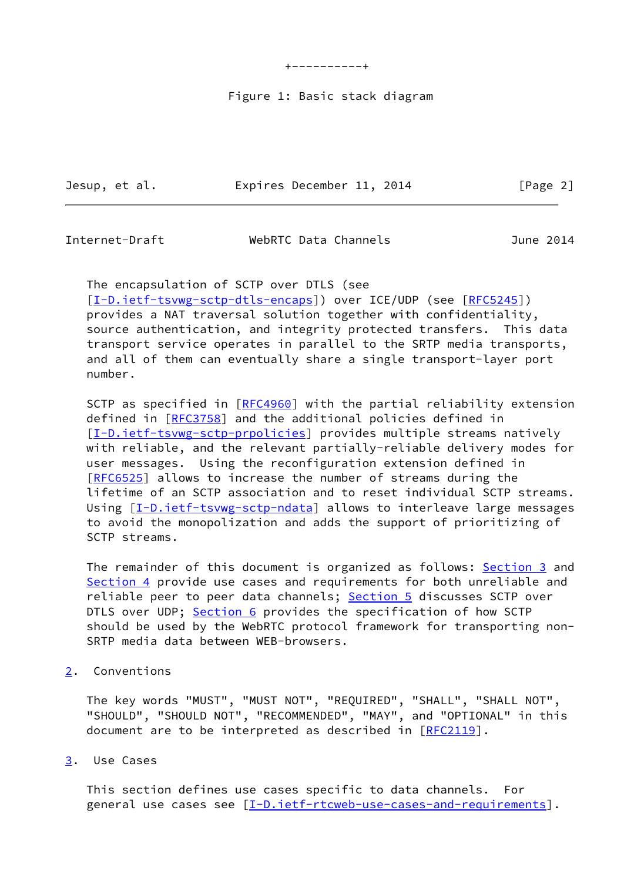+----------+

#### Figure 1: Basic stack diagram

Jesup, et al. **Expires December 11, 2014** [Page 2]

<span id="page-2-1"></span>Internet-Draft WebRTC Data Channels June 2014

 The encapsulation of SCTP over DTLS (see [\[I-D.ietf-tsvwg-sctp-dtls-encaps](#page-14-1)]) over ICE/UDP (see [\[RFC5245](https://datatracker.ietf.org/doc/pdf/rfc5245)]) provides a NAT traversal solution together with confidentiality, source authentication, and integrity protected transfers. This data transport service operates in parallel to the SRTP media transports, and all of them can eventually share a single transport-layer port number.

SCTP as specified in [\[RFC4960](https://datatracker.ietf.org/doc/pdf/rfc4960)] with the partial reliability extension defined in [[RFC3758\]](https://datatracker.ietf.org/doc/pdf/rfc3758) and the additional policies defined in [\[I-D.ietf-tsvwg-sctp-prpolicies](#page-14-2)] provides multiple streams natively with reliable, and the relevant partially-reliable delivery modes for user messages. Using the reconfiguration extension defined in [\[RFC6525](https://datatracker.ietf.org/doc/pdf/rfc6525)] allows to increase the number of streams during the lifetime of an SCTP association and to reset individual SCTP streams. Using [[I-D.ietf-tsvwg-sctp-ndata\]](#page-14-3) allows to interleave large messages to avoid the monopolization and adds the support of prioritizing of SCTP streams.

The remainder of this document is organized as follows: [Section 3](#page-2-2) and [Section 4](#page-3-3) provide use cases and requirements for both unreliable and reliable peer to peer data channels; [Section 5](#page-5-0) discusses SCTP over DTLS over UDP; [Section 6](#page-8-0) provides the specification of how SCTP should be used by the WebRTC protocol framework for transporting non- SRTP media data between WEB-browsers.

<span id="page-2-0"></span>[2](#page-2-0). Conventions

 The key words "MUST", "MUST NOT", "REQUIRED", "SHALL", "SHALL NOT", "SHOULD", "SHOULD NOT", "RECOMMENDED", "MAY", and "OPTIONAL" in this document are to be interpreted as described in [\[RFC2119](https://datatracker.ietf.org/doc/pdf/rfc2119)].

<span id="page-2-2"></span>[3](#page-2-2). Use Cases

 This section defines use cases specific to data channels. For general use cases see [[I-D.ietf-rtcweb-use-cases-and-requirements\]](#page-15-1).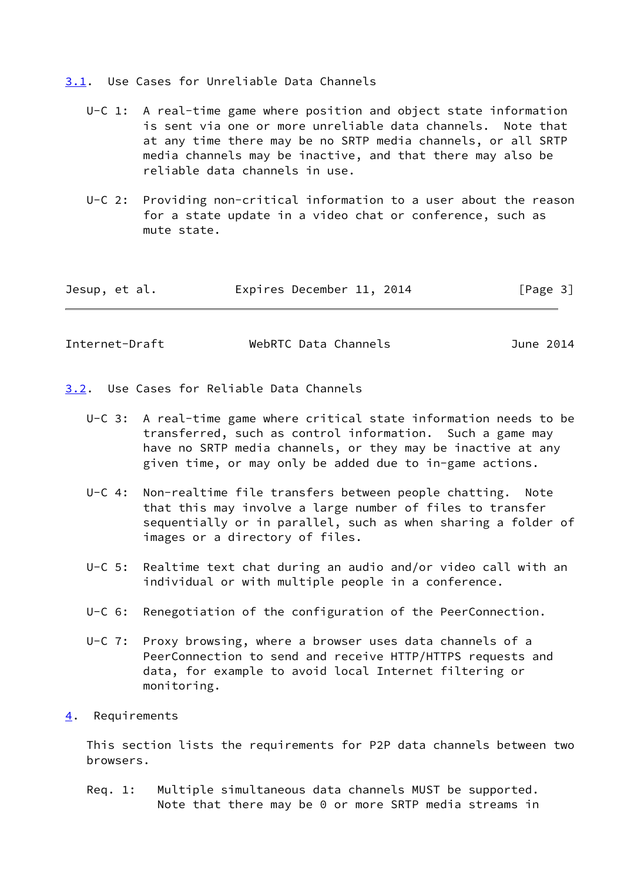<span id="page-3-0"></span>[3.1](#page-3-0). Use Cases for Unreliable Data Channels

- U-C 1: A real-time game where position and object state information is sent via one or more unreliable data channels. Note that at any time there may be no SRTP media channels, or all SRTP media channels may be inactive, and that there may also be reliable data channels in use.
- U-C 2: Providing non-critical information to a user about the reason for a state update in a video chat or conference, such as mute state.

| Jesup, et al. | Expires December 11, 2014 | [Page 3] |
|---------------|---------------------------|----------|
|---------------|---------------------------|----------|

<span id="page-3-2"></span>

| Internet-Draft | WebRTC Data Channels | June 2014 |
|----------------|----------------------|-----------|
|                |                      |           |

<span id="page-3-1"></span>[3.2](#page-3-1). Use Cases for Reliable Data Channels

- U-C 3: A real-time game where critical state information needs to be transferred, such as control information. Such a game may have no SRTP media channels, or they may be inactive at any given time, or may only be added due to in-game actions.
- U-C 4: Non-realtime file transfers between people chatting. Note that this may involve a large number of files to transfer sequentially or in parallel, such as when sharing a folder of images or a directory of files.
- U-C 5: Realtime text chat during an audio and/or video call with an individual or with multiple people in a conference.
- U-C 6: Renegotiation of the configuration of the PeerConnection.
- U-C 7: Proxy browsing, where a browser uses data channels of a PeerConnection to send and receive HTTP/HTTPS requests and data, for example to avoid local Internet filtering or monitoring.
- <span id="page-3-3"></span>[4](#page-3-3). Requirements

 This section lists the requirements for P2P data channels between two browsers.

 Req. 1: Multiple simultaneous data channels MUST be supported. Note that there may be 0 or more SRTP media streams in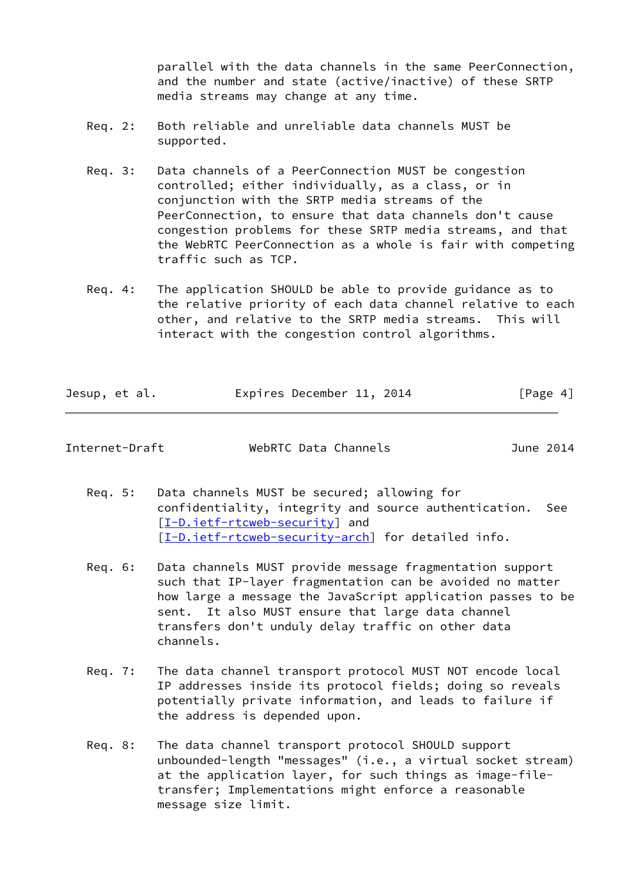parallel with the data channels in the same PeerConnection, and the number and state (active/inactive) of these SRTP media streams may change at any time.

- Req. 2: Both reliable and unreliable data channels MUST be supported.
- Req. 3: Data channels of a PeerConnection MUST be congestion controlled; either individually, as a class, or in conjunction with the SRTP media streams of the PeerConnection, to ensure that data channels don't cause congestion problems for these SRTP media streams, and that the WebRTC PeerConnection as a whole is fair with competing traffic such as TCP.
- Req. 4: The application SHOULD be able to provide guidance as to the relative priority of each data channel relative to each other, and relative to the SRTP media streams. This will interact with the congestion control algorithms.

| Jesup, et al. |  | Expires December 11, 2014 |  | [Page 4] |
|---------------|--|---------------------------|--|----------|
|---------------|--|---------------------------|--|----------|

<span id="page-4-0"></span>

| Internet-Draft |  |
|----------------|--|
|                |  |

WebRTC Data Channels **Internet-Drama** June 2014

- Req. 5: Data channels MUST be secured; allowing for confidentiality, integrity and source authentication. See [[I-D.ietf-rtcweb-security\]](#page-14-4) and [[I-D.ietf-rtcweb-security-arch\]](#page-14-5) for detailed info.
- Req. 6: Data channels MUST provide message fragmentation support such that IP-layer fragmentation can be avoided no matter how large a message the JavaScript application passes to be sent. It also MUST ensure that large data channel transfers don't unduly delay traffic on other data channels.
- Req. 7: The data channel transport protocol MUST NOT encode local IP addresses inside its protocol fields; doing so reveals potentially private information, and leads to failure if the address is depended upon.
- Req. 8: The data channel transport protocol SHOULD support unbounded-length "messages" (i.e., a virtual socket stream) at the application layer, for such things as image-file transfer; Implementations might enforce a reasonable message size limit.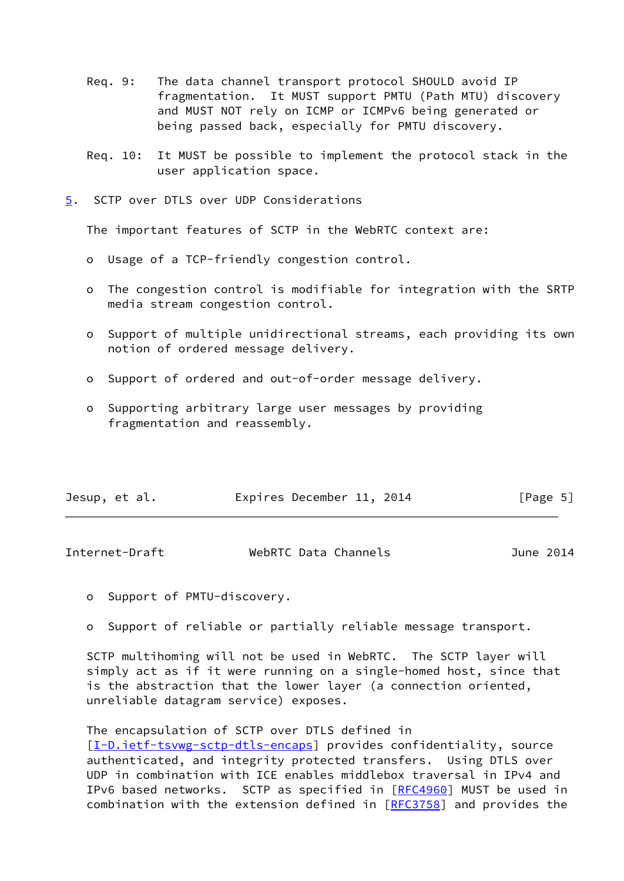- Req. 9: The data channel transport protocol SHOULD avoid IP fragmentation. It MUST support PMTU (Path MTU) discovery and MUST NOT rely on ICMP or ICMPv6 being generated or being passed back, especially for PMTU discovery.
- Req. 10: It MUST be possible to implement the protocol stack in the user application space.
- <span id="page-5-0"></span>[5](#page-5-0). SCTP over DTLS over UDP Considerations

The important features of SCTP in the WebRTC context are:

- o Usage of a TCP-friendly congestion control.
- o The congestion control is modifiable for integration with the SRTP media stream congestion control.
- o Support of multiple unidirectional streams, each providing its own notion of ordered message delivery.
- o Support of ordered and out-of-order message delivery.
- o Supporting arbitrary large user messages by providing fragmentation and reassembly.

| Jesup, et al. |  |  | Expires December 11, 2014 |  |  | [Page 5] |
|---------------|--|--|---------------------------|--|--|----------|
|---------------|--|--|---------------------------|--|--|----------|

| Internet-Draft | WebRTC Data Channels | June 2014 |  |
|----------------|----------------------|-----------|--|
|                |                      |           |  |

o Support of PMTU-discovery.

o Support of reliable or partially reliable message transport.

 SCTP multihoming will not be used in WebRTC. The SCTP layer will simply act as if it were running on a single-homed host, since that is the abstraction that the lower layer (a connection oriented, unreliable datagram service) exposes.

 The encapsulation of SCTP over DTLS defined in [\[I-D.ietf-tsvwg-sctp-dtls-encaps](#page-14-1)] provides confidentiality, source authenticated, and integrity protected transfers. Using DTLS over UDP in combination with ICE enables middlebox traversal in IPv4 and IPv6 based networks. SCTP as specified in [[RFC4960\]](https://datatracker.ietf.org/doc/pdf/rfc4960) MUST be used in combination with the extension defined in [[RFC3758](https://datatracker.ietf.org/doc/pdf/rfc3758)] and provides the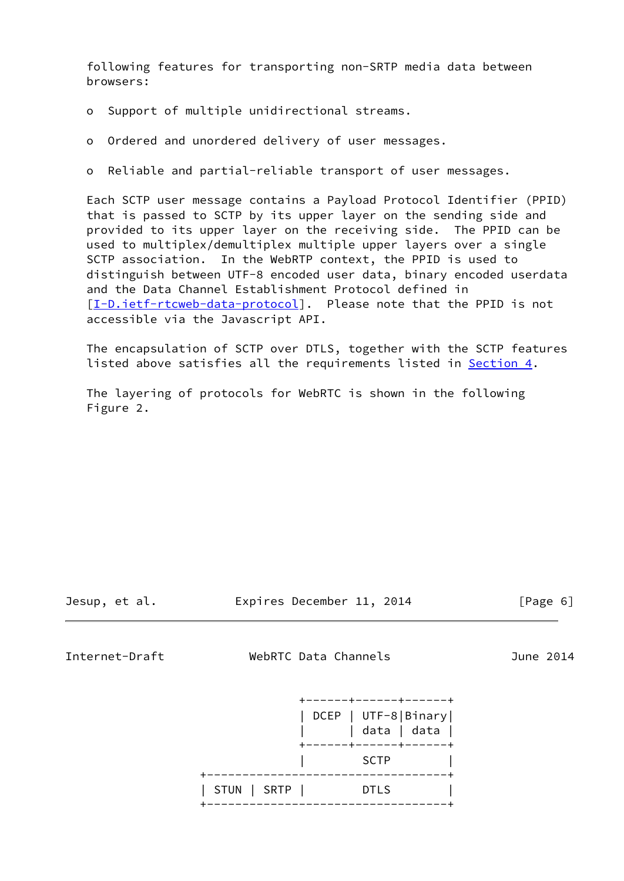following features for transporting non-SRTP media data between browsers:

- o Support of multiple unidirectional streams.
- o Ordered and unordered delivery of user messages.
- o Reliable and partial-reliable transport of user messages.

 Each SCTP user message contains a Payload Protocol Identifier (PPID) that is passed to SCTP by its upper layer on the sending side and provided to its upper layer on the receiving side. The PPID can be used to multiplex/demultiplex multiple upper layers over a single SCTP association. In the WebRTP context, the PPID is used to distinguish between UTF-8 encoded user data, binary encoded userdata and the Data Channel Establishment Protocol defined in [\[I-D.ietf-rtcweb-data-protocol](#page-14-6)]. Please note that the PPID is not accessible via the Javascript API.

 The encapsulation of SCTP over DTLS, together with the SCTP features listed above satisfies all the requirements listed in [Section 4.](#page-3-3)

 The layering of protocols for WebRTC is shown in the following Figure 2.

Jesup, et al. Expires December 11, 2014 [Page 6]

Internet-Draft WebRTC Data Channels June 2014

 +------+------+------+ | DCEP | UTF-8|Binary| | | data | data | +------+------+------+  $|\hspace{.1cm}$  SCTP  $|\hspace{.1cm}$   $|$  +----------------------------------+ | STUN | SRTP | DTLS | +----------------------------------+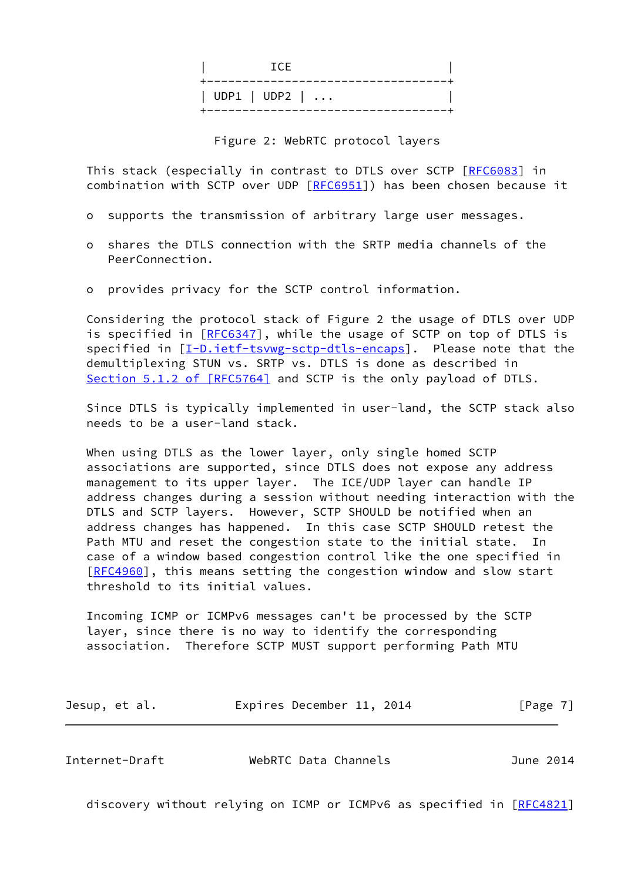| TCE.                         |
|------------------------------|
| $ $ UDP1 $ $ UDP2 $  \ldots$ |

Figure 2: WebRTC protocol layers

 This stack (especially in contrast to DTLS over SCTP [\[RFC6083](https://datatracker.ietf.org/doc/pdf/rfc6083)] in combination with SCTP over UDP [\[RFC6951](https://datatracker.ietf.org/doc/pdf/rfc6951)]) has been chosen because it

- o supports the transmission of arbitrary large user messages.
- o shares the DTLS connection with the SRTP media channels of the PeerConnection.
- o provides privacy for the SCTP control information.

 Considering the protocol stack of Figure 2 the usage of DTLS over UDP is specified in [\[RFC6347](https://datatracker.ietf.org/doc/pdf/rfc6347)], while the usage of SCTP on top of DTLS is specified in [\[I-D.ietf-tsvwg-sctp-dtls-encaps](#page-14-1)]. Please note that the demultiplexing STUN vs. SRTP vs. DTLS is done as described in Section [5.1.2 of \[RFC5764\]](https://datatracker.ietf.org/doc/pdf/rfc5764#section-5.1.2) and SCTP is the only payload of DTLS.

 Since DTLS is typically implemented in user-land, the SCTP stack also needs to be a user-land stack.

 When using DTLS as the lower layer, only single homed SCTP associations are supported, since DTLS does not expose any address management to its upper layer. The ICE/UDP layer can handle IP address changes during a session without needing interaction with the DTLS and SCTP layers. However, SCTP SHOULD be notified when an address changes has happened. In this case SCTP SHOULD retest the Path MTU and reset the congestion state to the initial state. In case of a window based congestion control like the one specified in [\[RFC4960](https://datatracker.ietf.org/doc/pdf/rfc4960)], this means setting the congestion window and slow start threshold to its initial values.

 Incoming ICMP or ICMPv6 messages can't be processed by the SCTP layer, since there is no way to identify the corresponding association. Therefore SCTP MUST support performing Path MTU

| [Page 7]<br>Jesup, et al.<br>Expires December 11, 2014 |  |  |
|--------------------------------------------------------|--|--|
|--------------------------------------------------------|--|--|

<span id="page-7-0"></span>

| Internet-Draft | WebRTC Data Channels | June 2014 |
|----------------|----------------------|-----------|
|                |                      |           |

discovery without relying on ICMP or ICMPv6 as specified in [\[RFC4821](https://datatracker.ietf.org/doc/pdf/rfc4821)]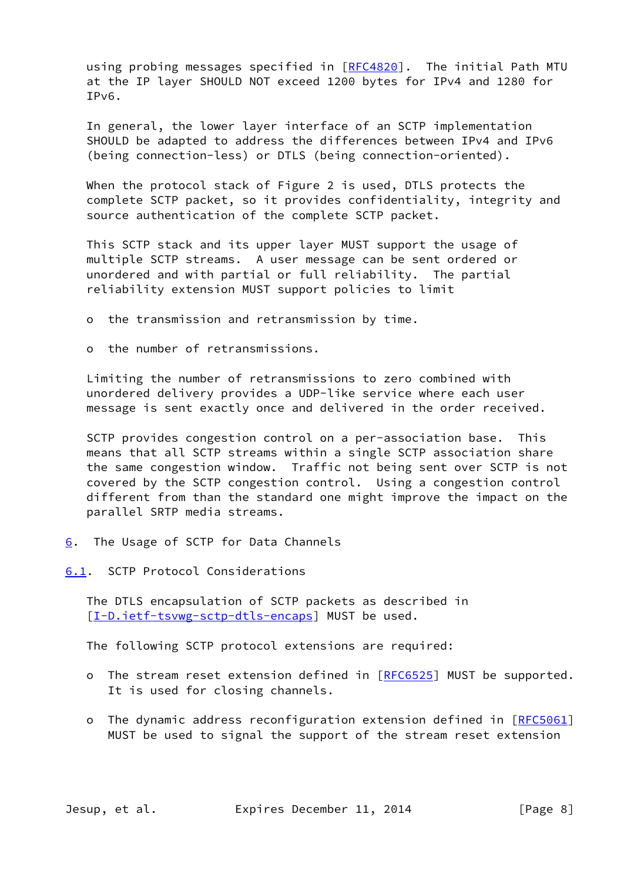using probing messages specified in [\[RFC4820](https://datatracker.ietf.org/doc/pdf/rfc4820)]. The initial Path MTU at the IP layer SHOULD NOT exceed 1200 bytes for IPv4 and 1280 for IPv6.

 In general, the lower layer interface of an SCTP implementation SHOULD be adapted to address the differences between IPv4 and IPv6 (being connection-less) or DTLS (being connection-oriented).

 When the protocol stack of Figure 2 is used, DTLS protects the complete SCTP packet, so it provides confidentiality, integrity and source authentication of the complete SCTP packet.

 This SCTP stack and its upper layer MUST support the usage of multiple SCTP streams. A user message can be sent ordered or unordered and with partial or full reliability. The partial reliability extension MUST support policies to limit

o the transmission and retransmission by time.

o the number of retransmissions.

 Limiting the number of retransmissions to zero combined with unordered delivery provides a UDP-like service where each user message is sent exactly once and delivered in the order received.

 SCTP provides congestion control on a per-association base. This means that all SCTP streams within a single SCTP association share the same congestion window. Traffic not being sent over SCTP is not covered by the SCTP congestion control. Using a congestion control different from than the standard one might improve the impact on the parallel SRTP media streams.

- <span id="page-8-0"></span>[6](#page-8-0). The Usage of SCTP for Data Channels
- <span id="page-8-1"></span>[6.1](#page-8-1). SCTP Protocol Considerations

 The DTLS encapsulation of SCTP packets as described in [\[I-D.ietf-tsvwg-sctp-dtls-encaps](#page-14-1)] MUST be used.

The following SCTP protocol extensions are required:

- o The stream reset extension defined in  $[REC6525]$  MUST be supported. It is used for closing channels.
- o The dynamic address reconfiguration extension defined in [\[RFC5061](https://datatracker.ietf.org/doc/pdf/rfc5061)] MUST be used to signal the support of the stream reset extension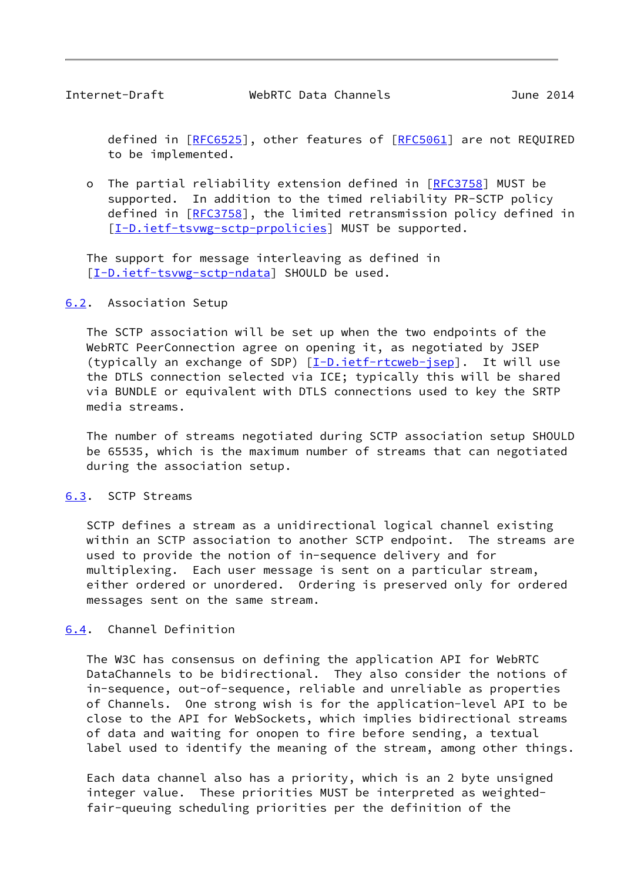<span id="page-9-1"></span>defined in [[RFC6525](https://datatracker.ietf.org/doc/pdf/rfc6525)], other features of [[RFC5061\]](https://datatracker.ietf.org/doc/pdf/rfc5061) are not REQUIRED to be implemented.

o The partial reliability extension defined in [\[RFC3758](https://datatracker.ietf.org/doc/pdf/rfc3758)] MUST be supported. In addition to the timed reliability PR-SCTP policy defined in [[RFC3758](https://datatracker.ietf.org/doc/pdf/rfc3758)], the limited retransmission policy defined in [[I-D.ietf-tsvwg-sctp-prpolicies](#page-14-2)] MUST be supported.

 The support for message interleaving as defined in [\[I-D.ietf-tsvwg-sctp-ndata](#page-14-3)] SHOULD be used.

#### <span id="page-9-0"></span>[6.2](#page-9-0). Association Setup

 The SCTP association will be set up when the two endpoints of the WebRTC PeerConnection agree on opening it, as negotiated by JSEP (typically an exchange of SDP) [\[I-D.ietf-rtcweb-jsep](#page-14-7)]. It will use the DTLS connection selected via ICE; typically this will be shared via BUNDLE or equivalent with DTLS connections used to key the SRTP media streams.

 The number of streams negotiated during SCTP association setup SHOULD be 65535, which is the maximum number of streams that can negotiated during the association setup.

#### <span id="page-9-2"></span>[6.3](#page-9-2). SCTP Streams

 SCTP defines a stream as a unidirectional logical channel existing within an SCTP association to another SCTP endpoint. The streams are used to provide the notion of in-sequence delivery and for multiplexing. Each user message is sent on a particular stream, either ordered or unordered. Ordering is preserved only for ordered messages sent on the same stream.

### <span id="page-9-3"></span>[6.4](#page-9-3). Channel Definition

 The W3C has consensus on defining the application API for WebRTC DataChannels to be bidirectional. They also consider the notions of in-sequence, out-of-sequence, reliable and unreliable as properties of Channels. One strong wish is for the application-level API to be close to the API for WebSockets, which implies bidirectional streams of data and waiting for onopen to fire before sending, a textual label used to identify the meaning of the stream, among other things.

 Each data channel also has a priority, which is an 2 byte unsigned integer value. These priorities MUST be interpreted as weighted fair-queuing scheduling priorities per the definition of the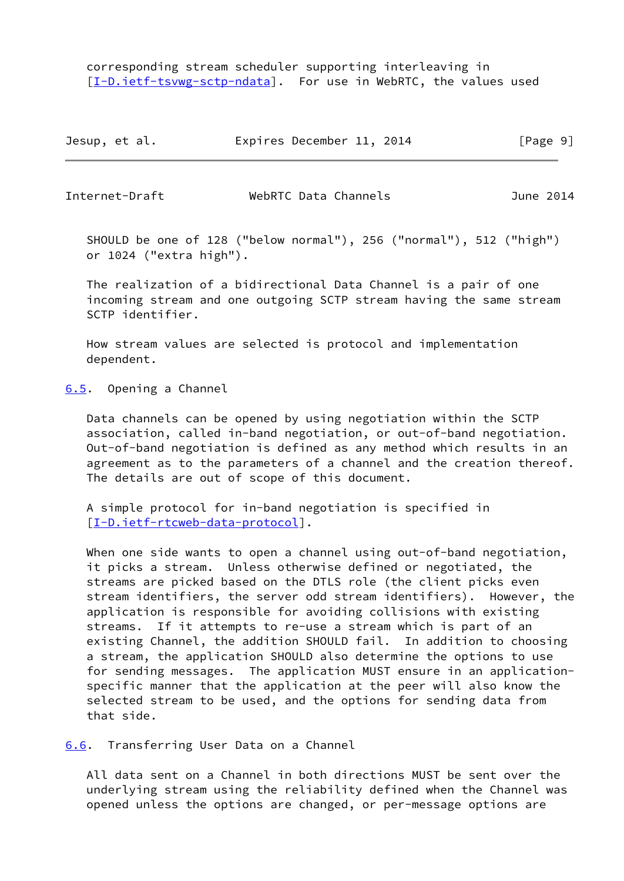corresponding stream scheduler supporting interleaving in [\[I-D.ietf-tsvwg-sctp-ndata](#page-14-3)]. For use in WebRTC, the values used

| Jesup, et al. | Expires December 11, 2014 | [Page 9] |
|---------------|---------------------------|----------|
|---------------|---------------------------|----------|

<span id="page-10-1"></span>

Internet-Draft WebRTC Data Channels June 2014

 SHOULD be one of 128 ("below normal"), 256 ("normal"), 512 ("high") or 1024 ("extra high").

 The realization of a bidirectional Data Channel is a pair of one incoming stream and one outgoing SCTP stream having the same stream SCTP identifier.

 How stream values are selected is protocol and implementation dependent.

<span id="page-10-0"></span>[6.5](#page-10-0). Opening a Channel

 Data channels can be opened by using negotiation within the SCTP association, called in-band negotiation, or out-of-band negotiation. Out-of-band negotiation is defined as any method which results in an agreement as to the parameters of a channel and the creation thereof. The details are out of scope of this document.

 A simple protocol for in-band negotiation is specified in [\[I-D.ietf-rtcweb-data-protocol](#page-14-6)].

When one side wants to open a channel using out-of-band negotiation, it picks a stream. Unless otherwise defined or negotiated, the streams are picked based on the DTLS role (the client picks even stream identifiers, the server odd stream identifiers). However, the application is responsible for avoiding collisions with existing streams. If it attempts to re-use a stream which is part of an existing Channel, the addition SHOULD fail. In addition to choosing a stream, the application SHOULD also determine the options to use for sending messages. The application MUST ensure in an application specific manner that the application at the peer will also know the selected stream to be used, and the options for sending data from that side.

<span id="page-10-2"></span>[6.6](#page-10-2). Transferring User Data on a Channel

 All data sent on a Channel in both directions MUST be sent over the underlying stream using the reliability defined when the Channel was opened unless the options are changed, or per-message options are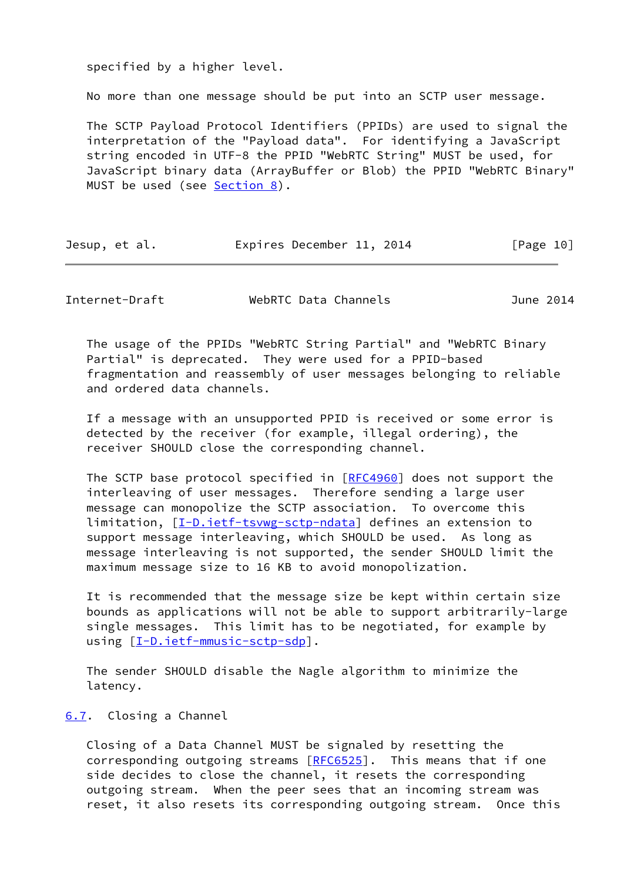specified by a higher level.

No more than one message should be put into an SCTP user message.

 The SCTP Payload Protocol Identifiers (PPIDs) are used to signal the interpretation of the "Payload data". For identifying a JavaScript string encoded in UTF-8 the PPID "WebRTC String" MUST be used, for JavaScript binary data (ArrayBuffer or Blob) the PPID "WebRTC Binary" MUST be used (see [Section 8\)](#page-12-1).

| Jesup, et al. | Expires December 11, 2014 |  | [Page 10] |
|---------------|---------------------------|--|-----------|
|---------------|---------------------------|--|-----------|

<span id="page-11-1"></span>Internet-Draft WebRTC Data Channels June 2014

 The usage of the PPIDs "WebRTC String Partial" and "WebRTC Binary Partial" is deprecated. They were used for a PPID-based fragmentation and reassembly of user messages belonging to reliable and ordered data channels.

 If a message with an unsupported PPID is received or some error is detected by the receiver (for example, illegal ordering), the receiver SHOULD close the corresponding channel.

The SCTP base protocol specified in [\[RFC4960](https://datatracker.ietf.org/doc/pdf/rfc4960)] does not support the interleaving of user messages. Therefore sending a large user message can monopolize the SCTP association. To overcome this limitation, [\[I-D.ietf-tsvwg-sctp-ndata](#page-14-3)] defines an extension to support message interleaving, which SHOULD be used. As long as message interleaving is not supported, the sender SHOULD limit the maximum message size to 16 KB to avoid monopolization.

 It is recommended that the message size be kept within certain size bounds as applications will not be able to support arbitrarily-large single messages. This limit has to be negotiated, for example by using  $[I-D.ietf-mmusic-sctp-sdp]$  $[I-D.ietf-mmusic-sctp-sdp]$ .

 The sender SHOULD disable the Nagle algorithm to minimize the latency.

### <span id="page-11-0"></span>[6.7](#page-11-0). Closing a Channel

 Closing of a Data Channel MUST be signaled by resetting the corresponding outgoing streams [\[RFC6525](https://datatracker.ietf.org/doc/pdf/rfc6525)]. This means that if one side decides to close the channel, it resets the corresponding outgoing stream. When the peer sees that an incoming stream was reset, it also resets its corresponding outgoing stream. Once this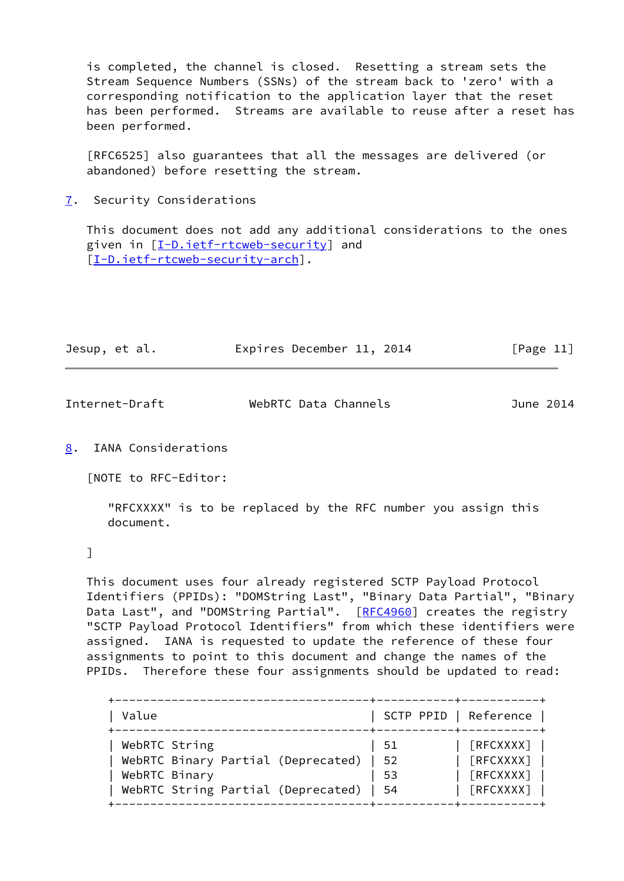is completed, the channel is closed. Resetting a stream sets the Stream Sequence Numbers (SSNs) of the stream back to 'zero' with a corresponding notification to the application layer that the reset has been performed. Streams are available to reuse after a reset has been performed.

 [RFC6525] also guarantees that all the messages are delivered (or abandoned) before resetting the stream.

<span id="page-12-0"></span>[7](#page-12-0). Security Considerations

 This document does not add any additional considerations to the ones given in [\[I-D.ietf-rtcweb-security](#page-14-4)] and [\[I-D.ietf-rtcweb-security-arch](#page-14-5)].

| Jesup, et al. |  |  |  | Expires December 11, 2014 |  |  | [Page 11] |  |
|---------------|--|--|--|---------------------------|--|--|-----------|--|
|---------------|--|--|--|---------------------------|--|--|-----------|--|

<span id="page-12-2"></span>

| Internet-Draft | WebRTC Data Channels | June 2014 |
|----------------|----------------------|-----------|
|                |                      |           |

<span id="page-12-1"></span>[8](#page-12-1). IANA Considerations

[NOTE to RFC-Editor:

 "RFCXXXX" is to be replaced by the RFC number you assign this document.

# ]

 This document uses four already registered SCTP Payload Protocol Identifiers (PPIDs): "DOMString Last", "Binary Data Partial", "Binary Data Last", and "DOMString Partial". [[RFC4960](https://datatracker.ietf.org/doc/pdf/rfc4960)] creates the registry "SCTP Payload Protocol Identifiers" from which these identifiers were assigned. IANA is requested to update the reference of these four assignments to point to this document and change the names of the PPIDs. Therefore these four assignments should be updated to read:

| Value                              | SCTP PPID   Reference |           |
|------------------------------------|-----------------------|-----------|
| WebRTC String                      | -51                   | [REXXXX]  |
| WebRTC Binary Partial (Deprecated) | - 52                  | [REXXXX]  |
| WebRTC Binary                      | -53                   | [REXXXX]  |
| WebRTC String Partial (Deprecated) | -54                   | [RFCXXXX] |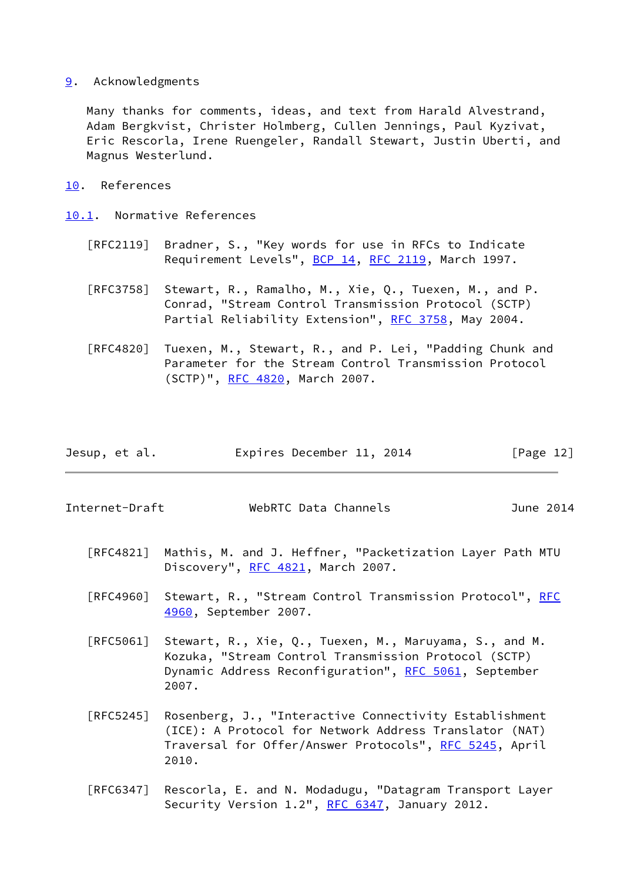<span id="page-13-0"></span>[9](#page-13-0). Acknowledgments

 Many thanks for comments, ideas, and text from Harald Alvestrand, Adam Bergkvist, Christer Holmberg, Cullen Jennings, Paul Kyzivat, Eric Rescorla, Irene Ruengeler, Randall Stewart, Justin Uberti, and Magnus Westerlund.

<span id="page-13-1"></span>[10.](#page-13-1) References

<span id="page-13-2"></span>[10.1](#page-13-2). Normative References

- [RFC2119] Bradner, S., "Key words for use in RFCs to Indicate Requirement Levels", [BCP 14](https://datatracker.ietf.org/doc/pdf/bcp14), [RFC 2119](https://datatracker.ietf.org/doc/pdf/rfc2119), March 1997.
- [RFC3758] Stewart, R., Ramalho, M., Xie, Q., Tuexen, M., and P. Conrad, "Stream Control Transmission Protocol (SCTP) Partial Reliability Extension", [RFC 3758,](https://datatracker.ietf.org/doc/pdf/rfc3758) May 2004.
- [RFC4820] Tuexen, M., Stewart, R., and P. Lei, "Padding Chunk and Parameter for the Stream Control Transmission Protocol (SCTP)", [RFC 4820,](https://datatracker.ietf.org/doc/pdf/rfc4820) March 2007.

| Jesup, et al. | Expires December 11, 2014 | [Page 12] |
|---------------|---------------------------|-----------|
|               |                           |           |

Internet-Draft WebRTC Data Channels June 2014

- [RFC4821] Mathis, M. and J. Heffner, "Packetization Layer Path MTU Discovery", [RFC 4821,](https://datatracker.ietf.org/doc/pdf/rfc4821) March 2007.
- [RFC4960] Stewart, R., "Stream Control Transmission Protocol", [RFC](https://datatracker.ietf.org/doc/pdf/rfc4960) [4960,](https://datatracker.ietf.org/doc/pdf/rfc4960) September 2007.
- [RFC5061] Stewart, R., Xie, Q., Tuexen, M., Maruyama, S., and M. Kozuka, "Stream Control Transmission Protocol (SCTP) Dynamic Address Reconfiguration", [RFC 5061](https://datatracker.ietf.org/doc/pdf/rfc5061), September 2007.
- [RFC5245] Rosenberg, J., "Interactive Connectivity Establishment (ICE): A Protocol for Network Address Translator (NAT) Traversal for Offer/Answer Protocols", [RFC 5245](https://datatracker.ietf.org/doc/pdf/rfc5245), April 2010.
- [RFC6347] Rescorla, E. and N. Modadugu, "Datagram Transport Layer Security Version 1.2", [RFC 6347](https://datatracker.ietf.org/doc/pdf/rfc6347), January 2012.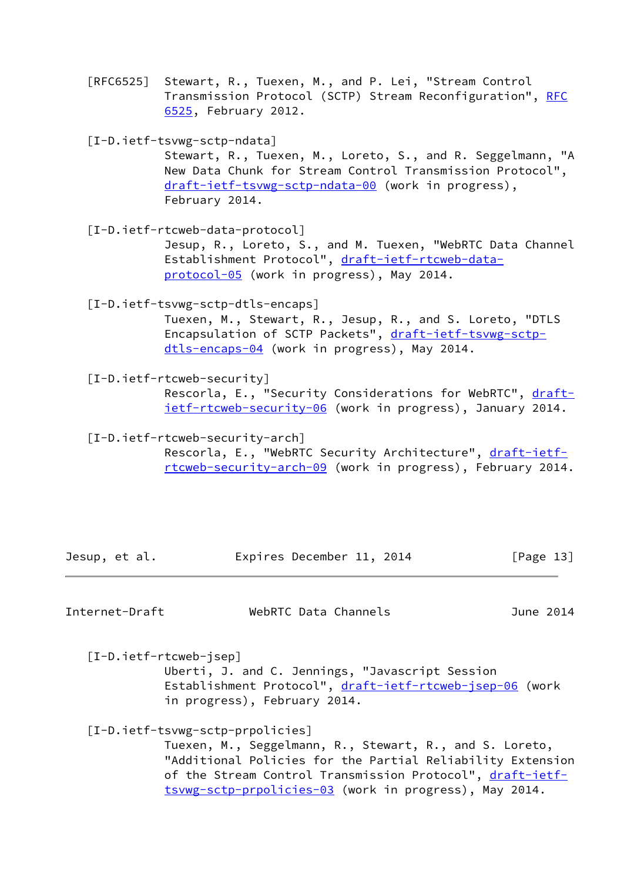[RFC6525] Stewart, R., Tuexen, M., and P. Lei, "Stream Control Transmission Protocol (SCTP) Stream Reconfiguration", [RFC](https://datatracker.ietf.org/doc/pdf/rfc6525) [6525,](https://datatracker.ietf.org/doc/pdf/rfc6525) February 2012.

<span id="page-14-3"></span>[I-D.ietf-tsvwg-sctp-ndata]

 Stewart, R., Tuexen, M., Loreto, S., and R. Seggelmann, "A New Data Chunk for Stream Control Transmission Protocol", [draft-ietf-tsvwg-sctp-ndata-00](https://datatracker.ietf.org/doc/pdf/draft-ietf-tsvwg-sctp-ndata-00) (work in progress), February 2014.

<span id="page-14-6"></span>[I-D.ietf-rtcweb-data-protocol]

 Jesup, R., Loreto, S., and M. Tuexen, "WebRTC Data Channel Establishment Protocol", [draft-ietf-rtcweb-data](https://datatracker.ietf.org/doc/pdf/draft-ietf-rtcweb-data-protocol-05) [protocol-05](https://datatracker.ietf.org/doc/pdf/draft-ietf-rtcweb-data-protocol-05) (work in progress), May 2014.

<span id="page-14-1"></span>[I-D.ietf-tsvwg-sctp-dtls-encaps]

 Tuexen, M., Stewart, R., Jesup, R., and S. Loreto, "DTLS Encapsulation of SCTP Packets", [draft-ietf-tsvwg-sctp](https://datatracker.ietf.org/doc/pdf/draft-ietf-tsvwg-sctp-dtls-encaps-04) [dtls-encaps-04](https://datatracker.ietf.org/doc/pdf/draft-ietf-tsvwg-sctp-dtls-encaps-04) (work in progress), May 2014.

<span id="page-14-4"></span>[I-D.ietf-rtcweb-security]

Rescorla, E., "Security Considerations for WebRTC", [draft](https://datatracker.ietf.org/doc/pdf/draft-ietf-rtcweb-security-06) [ietf-rtcweb-security-06](https://datatracker.ietf.org/doc/pdf/draft-ietf-rtcweb-security-06) (work in progress), January 2014.

<span id="page-14-5"></span> [I-D.ietf-rtcweb-security-arch] Rescorla, E., "WebRTC Security Architecture", [draft-ietf](https://datatracker.ietf.org/doc/pdf/draft-ietf-rtcweb-security-arch-09) [rtcweb-security-arch-09](https://datatracker.ietf.org/doc/pdf/draft-ietf-rtcweb-security-arch-09) (work in progress), February 2014.

| Jesup, et al. | Expires December 11, 2014 | [Page 13] |
|---------------|---------------------------|-----------|
|               |                           |           |

<span id="page-14-0"></span>Internet-Draft WebRTC Data Channels June 2014

<span id="page-14-7"></span>[I-D.ietf-rtcweb-jsep]

 Uberti, J. and C. Jennings, "Javascript Session Establishment Protocol", [draft-ietf-rtcweb-jsep-06](https://datatracker.ietf.org/doc/pdf/draft-ietf-rtcweb-jsep-06) (work in progress), February 2014.

### <span id="page-14-2"></span>[I-D.ietf-tsvwg-sctp-prpolicies]

 Tuexen, M., Seggelmann, R., Stewart, R., and S. Loreto, "Additional Policies for the Partial Reliability Extension of the Stream Control Transmission Protocol", [draft-ietf](https://datatracker.ietf.org/doc/pdf/draft-ietf-tsvwg-sctp-prpolicies-03) [tsvwg-sctp-prpolicies-03](https://datatracker.ietf.org/doc/pdf/draft-ietf-tsvwg-sctp-prpolicies-03) (work in progress), May 2014.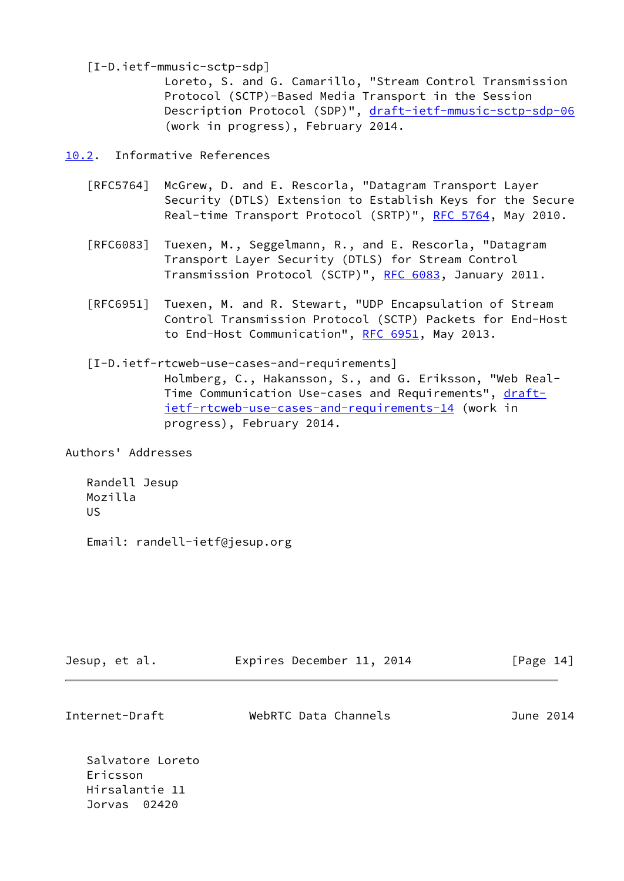<span id="page-15-2"></span>[I-D.ietf-mmusic-sctp-sdp]

 Loreto, S. and G. Camarillo, "Stream Control Transmission Protocol (SCTP)-Based Media Transport in the Session Description Protocol (SDP)", [draft-ietf-mmusic-sctp-sdp-06](https://datatracker.ietf.org/doc/pdf/draft-ietf-mmusic-sctp-sdp-06) (work in progress), February 2014.

<span id="page-15-0"></span>[10.2](#page-15-0). Informative References

- [RFC5764] McGrew, D. and E. Rescorla, "Datagram Transport Layer Security (DTLS) Extension to Establish Keys for the Secure Real-time Transport Protocol (SRTP)", [RFC 5764](https://datatracker.ietf.org/doc/pdf/rfc5764), May 2010.
- [RFC6083] Tuexen, M., Seggelmann, R., and E. Rescorla, "Datagram Transport Layer Security (DTLS) for Stream Control Transmission Protocol (SCTP)", [RFC 6083](https://datatracker.ietf.org/doc/pdf/rfc6083), January 2011.
- [RFC6951] Tuexen, M. and R. Stewart, "UDP Encapsulation of Stream Control Transmission Protocol (SCTP) Packets for End-Host to End-Host Communication", [RFC 6951,](https://datatracker.ietf.org/doc/pdf/rfc6951) May 2013.
- <span id="page-15-1"></span> [I-D.ietf-rtcweb-use-cases-and-requirements] Holmberg, C., Hakansson, S., and G. Eriksson, "Web Real Time Communication Use-cases and Requirements", [draft](https://datatracker.ietf.org/doc/pdf/draft-ietf-rtcweb-use-cases-and-requirements-14) [ietf-rtcweb-use-cases-and-requirements-14](https://datatracker.ietf.org/doc/pdf/draft-ietf-rtcweb-use-cases-and-requirements-14) (work in progress), February 2014.

Authors' Addresses

 Randell Jesup Mozilla US

Email: randell-ietf@jesup.org

| Jesup, et al.  | Expires December 11, 2014 | [Page 14] |
|----------------|---------------------------|-----------|
| Internet-Draft | WebRTC Data Channels      | June 2014 |

 Salvatore Loreto Ericsson Hirsalantie 11 Jorvas 02420